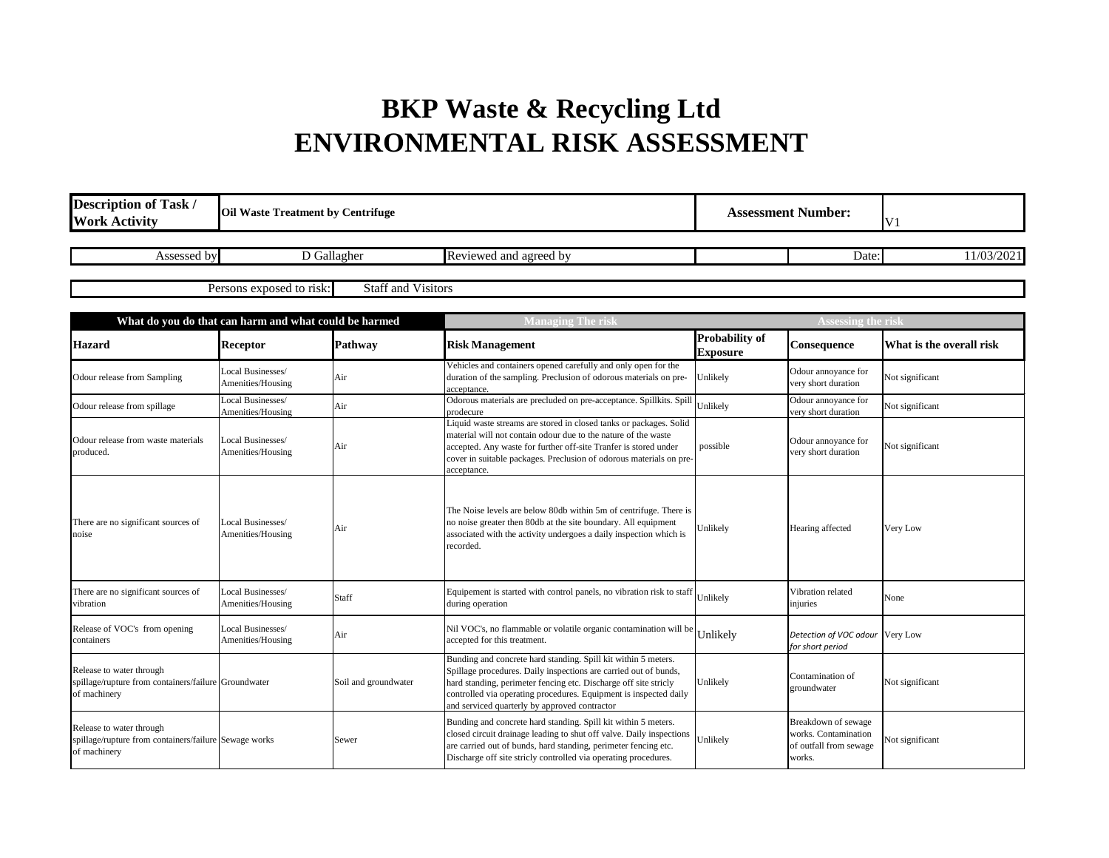## **BKP Waste & Recycling Ltd ENVIRONMENTAL RISK ASSESSMENT**

| <b>Description of Task /</b><br><b>Work Activity</b>                                              | <b>Oil Waste Treatment by Centrifuge</b>              |                           | <b>Assessment Number:</b>                                                                                                                                                                                                                                                                                                    |                                          | V <sub>1</sub>                                                                  |                          |
|---------------------------------------------------------------------------------------------------|-------------------------------------------------------|---------------------------|------------------------------------------------------------------------------------------------------------------------------------------------------------------------------------------------------------------------------------------------------------------------------------------------------------------------------|------------------------------------------|---------------------------------------------------------------------------------|--------------------------|
| Assessed by                                                                                       |                                                       | D Gallagher               | Reviewed and agreed by                                                                                                                                                                                                                                                                                                       |                                          | Date:                                                                           | 11/03/2021               |
|                                                                                                   | Persons exposed to risk:                              | <b>Staff and Visitors</b> |                                                                                                                                                                                                                                                                                                                              |                                          |                                                                                 |                          |
|                                                                                                   | What do you do that can harm and what could be harmed |                           | <b>Managing The risl</b>                                                                                                                                                                                                                                                                                                     |                                          | <b>Assessing the risl</b>                                                       |                          |
| <b>Hazard</b>                                                                                     | <b>Receptor</b>                                       | Pathway                   | <b>Risk Management</b>                                                                                                                                                                                                                                                                                                       | <b>Probability of</b><br><b>Exposure</b> | Consequence                                                                     | What is the overall risk |
| Odour release from Sampling                                                                       | Local Businesses/<br>Amenities/Housing                | Air                       | Vehicles and containers opened carefully and only open for the<br>duration of the sampling. Preclusion of odorous materials on pre-<br>acceptance.                                                                                                                                                                           | Unlikely                                 | Odour annoyance for<br>very short duration                                      | Not significant          |
| Odour release from spillage                                                                       | Local Businesses/<br>Amenities/Housing                | Air                       | Odorous materials are precluded on pre-acceptance. Spillkits. Spill<br>prodecure                                                                                                                                                                                                                                             | Unlikely                                 | Odour annoyance for<br>very short duration                                      | Not significant          |
| Odour release from waste materials<br>oroduced.                                                   | Local Businesses/<br>Amenities/Housing                | Air                       | Liquid waste streams are stored in closed tanks or packages. Solid<br>material will not contain odour due to the nature of the waste<br>accepted. Any waste for further off-site Tranfer is stored under<br>cover in suitable packages. Preclusion of odorous materials on pre-<br>acceptance.                               | possible                                 | Odour annoyance for<br>very short duration                                      | Not significant          |
| There are no significant sources of<br>noise                                                      | Local Businesses/<br>Amenities/Housing                | Air                       | The Noise levels are below 80db within 5m of centrifuge. There is<br>no noise greater then 80db at the site boundary. All equipment<br>associated with the activity undergoes a daily inspection which is<br>recorded.                                                                                                       | Unlikely                                 | Hearing affected                                                                | Very Low                 |
| There are no significant sources of<br>vibration                                                  | Local Businesses/<br>Amenities/Housing                | Staff                     | Equipement is started with control panels, no vibration risk to staff Unlikely<br>during operation                                                                                                                                                                                                                           |                                          | Vibration related<br>injuries                                                   | None                     |
| Release of VOC's from opening<br>containers                                                       | Local Businesses/<br>Amenities/Housing                | Air                       | Nil VOC's, no flammable or volatile organic contamination will be $\bigcup$ Unlikely<br>accepted for this treatment.                                                                                                                                                                                                         |                                          | Detection of VOC odour<br>for short period                                      | Very Low                 |
| Release to water through<br>spillage/rupture from containers/failure Groundwater<br>of machinery  |                                                       | Soil and groundwater      | Bunding and concrete hard standing. Spill kit within 5 meters.<br>Spillage procedures. Daily inspections are carried out of bunds,<br>hard standing, perimeter fencing etc. Discharge off site stricly<br>controlled via operating procedures. Equipment is inspected daily<br>and serviced quarterly by approved contractor | Unlikely                                 | Contamination of<br>groundwater                                                 | Not significant          |
| Release to water through<br>spillage/rupture from containers/failure Sewage works<br>of machinery |                                                       | Sewer                     | Bunding and concrete hard standing. Spill kit within 5 meters.<br>closed circuit drainage leading to shut off valve. Daily inspections<br>are carried out of bunds, hard standing, perimeter fencing etc.<br>Discharge off site stricly controlled via operating procedures.                                                 | Unlikely                                 | Breakdown of sewage<br>works. Contamination<br>of outfall from sewage<br>works. | Not significant          |